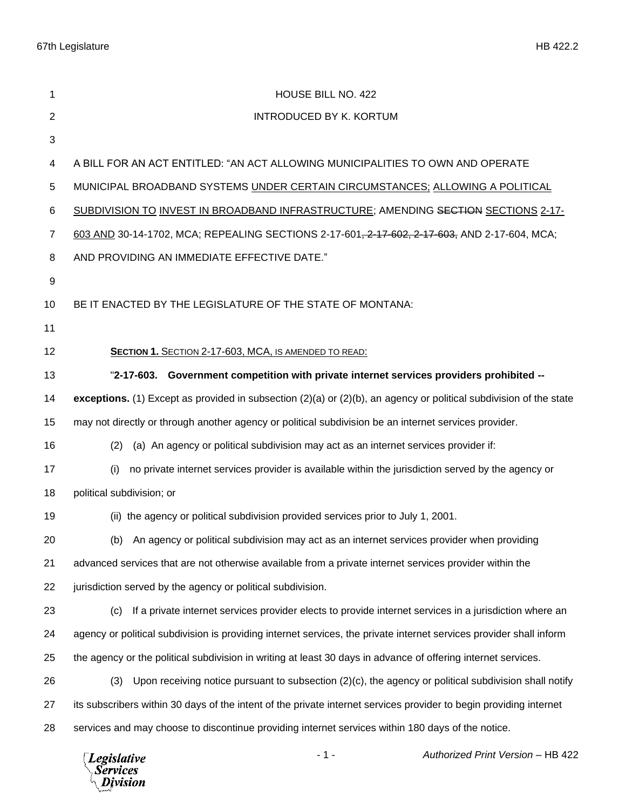| 1              | HOUSE BILL NO. 422                                                                                                      |
|----------------|-------------------------------------------------------------------------------------------------------------------------|
| $\overline{2}$ | <b>INTRODUCED BY K. KORTUM</b>                                                                                          |
| 3              |                                                                                                                         |
| 4              | A BILL FOR AN ACT ENTITLED: "AN ACT ALLOWING MUNICIPALITIES TO OWN AND OPERATE                                          |
| 5              | MUNICIPAL BROADBAND SYSTEMS UNDER CERTAIN CIRCUMSTANCES; ALLOWING A POLITICAL                                           |
| 6              | SUBDIVISION TO INVEST IN BROADBAND INFRASTRUCTURE; AMENDING SECTION SECTIONS 2-17-                                      |
| $\overline{7}$ | 603 AND 30-14-1702, MCA; REPEALING SECTIONS 2-17-601, 2-17-602, 2-17-603, AND 2-17-604, MCA;                            |
| 8              | AND PROVIDING AN IMMEDIATE EFFECTIVE DATE."                                                                             |
| 9              |                                                                                                                         |
| 10             | BE IT ENACTED BY THE LEGISLATURE OF THE STATE OF MONTANA:                                                               |
| 11             |                                                                                                                         |
| 12             | SECTION 1. SECTION 2-17-603, MCA, IS AMENDED TO READ:                                                                   |
| 13             | "2-17-603. Government competition with private internet services providers prohibited --                                |
| 14             | exceptions. (1) Except as provided in subsection $(2)(a)$ or $(2)(b)$ , an agency or political subdivision of the state |
| 15             | may not directly or through another agency or political subdivision be an internet services provider.                   |
| 16             | (a) An agency or political subdivision may act as an internet services provider if:<br>(2)                              |
| 17             | no private internet services provider is available within the jurisdiction served by the agency or<br>(i)               |
| 18             | political subdivision; or                                                                                               |
| 19             | (ii) the agency or political subdivision provided services prior to July 1, 2001.                                       |
| 20             | (b) An agency or political subdivision may act as an internet services provider when providing                          |
| 21             | advanced services that are not otherwise available from a private internet services provider within the                 |
| 22             | jurisdiction served by the agency or political subdivision.                                                             |
| 23             | If a private internet services provider elects to provide internet services in a jurisdiction where an<br>(c)           |
| 24             | agency or political subdivision is providing internet services, the private internet services provider shall inform     |
| 25             | the agency or the political subdivision in writing at least 30 days in advance of offering internet services.           |
| 26             | Upon receiving notice pursuant to subsection $(2)(c)$ , the agency or political subdivision shall notify<br>(3)         |
| 27             | its subscribers within 30 days of the intent of the private internet services provider to begin providing internet      |
| 28             | services and may choose to discontinue providing internet services within 180 days of the notice.                       |
|                | Authorized Print Version - HB 422<br>$-1-$<br>$\Box$ <i>Poislative</i>                                                  |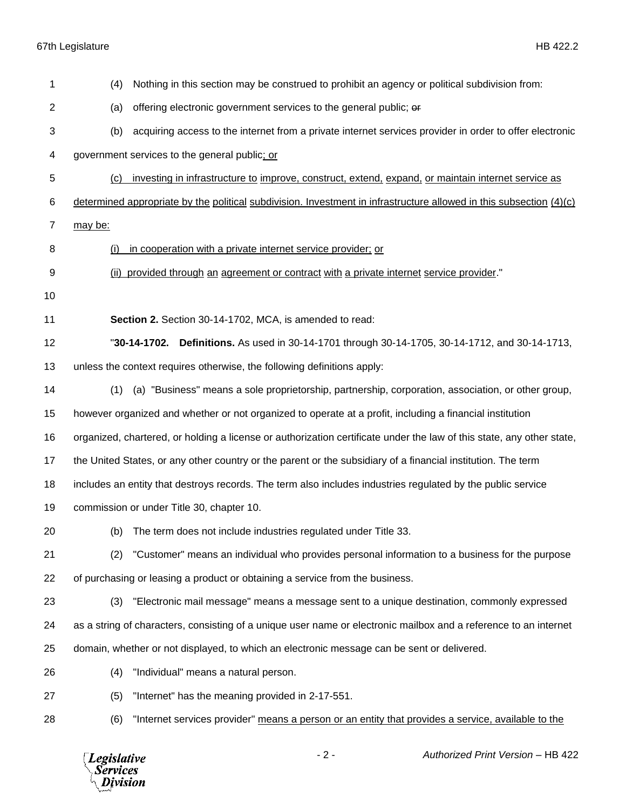67th Legislature HB 422.2

*Legislative*<br>Services<br>*Division* 

| 1              | Nothing in this section may be construed to prohibit an agency or political subdivision from:<br>(4)                  |
|----------------|-----------------------------------------------------------------------------------------------------------------------|
| 2              | offering electronic government services to the general public; or<br>(a)                                              |
| 3              | acquiring access to the internet from a private internet services provider in order to offer electronic<br>(b)        |
| 4              | government services to the general public; or                                                                         |
| 5              | investing in infrastructure to improve, construct, extend, expand, or maintain internet service as<br>(c)             |
| 6              | determined appropriate by the political subdivision. Investment in infrastructure allowed in this subsection $(4)(c)$ |
| $\overline{7}$ | may be:                                                                                                               |
| 8              | in cooperation with a private internet service provider; or<br>(i)                                                    |
| 9              | provided through an agreement or contract with a private internet service provider."<br>(ii)                          |
| 10             |                                                                                                                       |
| 11             | Section 2. Section 30-14-1702, MCA, is amended to read:                                                               |
| 12             | "30-14-1702. Definitions. As used in 30-14-1701 through 30-14-1705, 30-14-1712, and 30-14-1713,                       |
| 13             | unless the context requires otherwise, the following definitions apply:                                               |
| 14             | (a) "Business" means a sole proprietorship, partnership, corporation, association, or other group,<br>(1)             |
| 15             | however organized and whether or not organized to operate at a profit, including a financial institution              |
| 16             | organized, chartered, or holding a license or authorization certificate under the law of this state, any other state, |
| 17             | the United States, or any other country or the parent or the subsidiary of a financial institution. The term          |
| 18             | includes an entity that destroys records. The term also includes industries regulated by the public service           |
| 19             | commission or under Title 30, chapter 10.                                                                             |
| 20             | (b) The term does not include industries regulated under Title 33.                                                    |
| 21             | "Customer" means an individual who provides personal information to a business for the purpose<br>(2)                 |
| 22             | of purchasing or leasing a product or obtaining a service from the business.                                          |
| 23             | "Electronic mail message" means a message sent to a unique destination, commonly expressed<br>(3)                     |
| 24             | as a string of characters, consisting of a unique user name or electronic mailbox and a reference to an internet      |
| 25             | domain, whether or not displayed, to which an electronic message can be sent or delivered.                            |
| 26             | "Individual" means a natural person.<br>(4)                                                                           |
| 27             | "Internet" has the meaning provided in 2-17-551.<br>(5)                                                               |
| 28             | "Internet services provider" means a person or an entity that provides a service, available to the<br>(6)             |
|                |                                                                                                                       |

- 2 - *Authorized Print Version* – HB 422